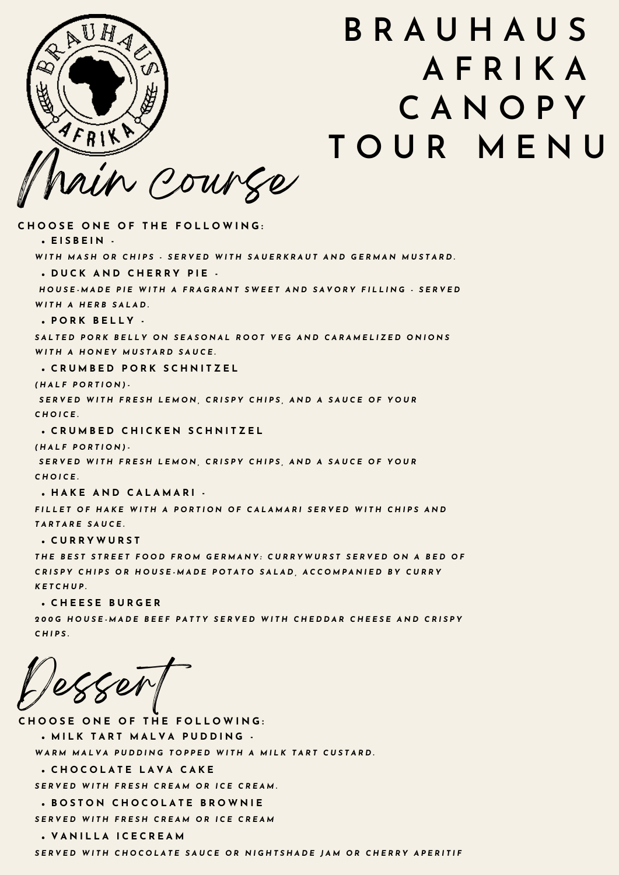

## **B R A U H A U S A F R I K A C A N O P Y T O U R M E N U**

**E I S B E I N - D U C K A N D C H E R R Y P I E - P O R K B E L L Y - C R U M B E D P O R K S C H N I T Z E L C R U M B E D C H I C K E N S C H N I T Z E L H A K E A N D C A L A M A R I - C U R R Y W U R S T** WITH MASH OR CHIPS - SERVED WITH SAUERKRAUT AND GERMAN MUSTARD. HOUSE MADE PIE WITH A FRAGRANT SWEET AND SAVORY FILLING - SERVED *W I T H A H E R B S A L A D .* SALTED PORK BELLY ON SEASONAL ROOT VEG AND CARAMELIZED ONIONS *W I T H A H O N E Y M U S T A R D S A U C E . ( H A L F P O R T I O N ) -* SERVED WITH FRESH LEMON, CRISPY CHIPS, AND A SAUCE OF YOUR *C H O I C E . ( H A L F P O R T I O N ) -* SERVED WITH FRESH LEMON, CRISPY CHIPS, AND A SAUCE OF YOUR *C H O I C E .* FILLET OF HAKE WITH A PORTION OF CALAMARI SERVED WITH CHIPS AND *T A R T A R E S A U C E .* **C H O O S E O N E O F T H E F O L L O W I N G :**

THE BEST STREET FOOD FROM GERMANY: CURRYWURST SERVED ON A BED OF CRISPY CHIPS OR HOUSE MADE POTATO SALAD, ACCOMPANIED BY CURRY *K E T C H U P* **.**

**C H E E S E B U R G E R**

200G HOUSE MADE BEEF PATTY SERVED WITH CHEDDAR CHEESE AND CRISPY *C H I P S .*

Dessert

**C H O O S E O N E O F T H E F O L L O W I N G : M I L K T A R T M A L V A P U D D I N G - C H O C O L A T E L A V A C A K E** WARM MALVA PUDDING TOPPED WITH A MILK TART CUSTARD. SERVED WITH FRESH CREAM OR ICE CREAM.

**B O S T O N C H O C O L A T E B R O W N I E** SERVED WITH FRESH CREAM OR ICE CREAM

**V A N I L L A I C E C R E A M**

SERVED WITH CHOCOLATE SAUCE OR NIGHTSHADE IAM OR CHERRY APERITIF